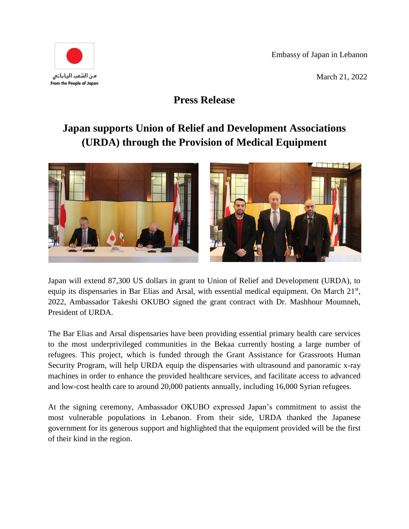Embassy of Japan in Lebanon

March 21, 2022



## **Press Release**

## **Japan supports Union of Relief and Development Associations (URDA) through the Provision of Medical Equipment**



Japan will extend 87,300 US dollars in grant to Union of Relief and Development (URDA), to equip its dispensaries in Bar Elias and Arsal, with essential medical equipment. On March 21<sup>st</sup>, 2022, Ambassador Takeshi OKUBO signed the grant contract with Dr. Mashhour Moumneh, President of URDA.

The Bar Elias and Arsal dispensaries have been providing essential primary health care services to the most underprivileged communities in the Bekaa currently hosting a large number of refugees. This project, which is funded through the Grant Assistance for Grassroots Human Security Program, will help URDA equip the dispensaries with ultrasound and panoramic x-ray machines in order to enhance the provided healthcare services, and facilitate access to advanced and low-cost health care to around 20,000 patients annually, including 16,000 Syrian refugees.

At the signing ceremony, Ambassador OKUBO expressed Japan's commitment to assist the most vulnerable populations in Lebanon. From their side, URDA thanked the Japanese government for its generous support and highlighted that the equipment provided will be the first of their kind in the region.